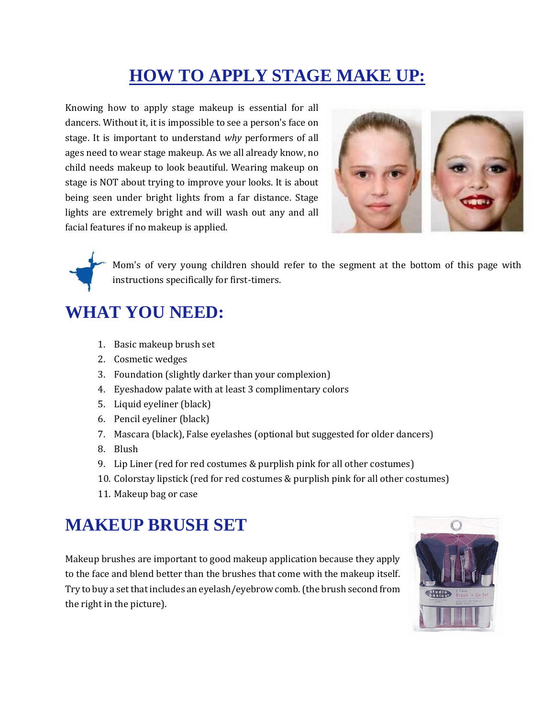# **HOW TO APPLY STAGE MAKE UP:**

Knowing how to apply stage makeup is essential for all dancers. Without it, it is impossible to see a person's face on stage. It is important to understand *why* performers of all ages need to wear stage makeup. As we all already know, no child needs makeup to look beautiful. Wearing makeup on stage is NOT about trying to improve your looks. It is about being seen under bright lights from a far distance. Stage lights are extremely bright and will wash out any and all facial features if no makeup is applied.



Mom's of very young children should refer to the segment at the bottom of this page with instructions specifically for first-timers.

## **WHAT YOU NEED:**

- 1. Basic makeup brush set
- 2. Cosmetic wedges
- 3. Foundation (slightly darker than your complexion)
- 4. Eyeshadow palate with at least 3 complimentary colors
- 5. Liquid eyeliner (black)
- 6. Pencil eyeliner (black)
- 7. Mascara (black), False eyelashes (optional but suggested for older dancers)
- 8. Blush
- 9. Lip Liner (red for red costumes & purplish pink for all other costumes)
- 10. Colorstay lipstick (red for red costumes & purplish pink for all other costumes)
- 11. Makeup bag or case

## **MAKEUP BRUSH SET**

Makeup brushes are important to good makeup application because they apply to the face and blend better than the brushes that come with the makeup itself. Try to buy a set that includes an eyelash/eyebrow comb. (the brush second from the right in the picture).

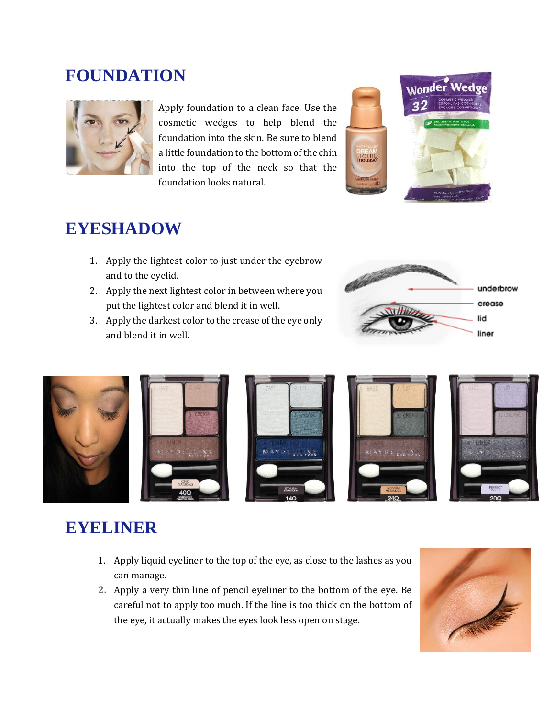#### **FOUNDATION**



Apply foundation to a clean face. Use the cosmetic wedges to help blend the foundation into the skin. Be sure to blend a little foundation to the bottom of the chin into the top of the neck so that the foundation looks natural.



#### **EYESHADOW**

- 1. Apply the lightest color to just under the eyebrow and to the eyelid.
- 2. Apply the next lightest color in between where you put the lightest color and blend it in well.
- 3. Apply the darkest color to the crease of the eye only and blend it in well.





## **EYELINER**

- 1. Apply liquid eyeliner to the top of the eye, as close to the lashes as you can manage.
- **2.** Apply a very thin line of pencil eyeliner to the bottom of the eye. Be careful not to apply too much. If the line is too thick on the bottom of the eye, it actually makes the eyes look less open on stage.

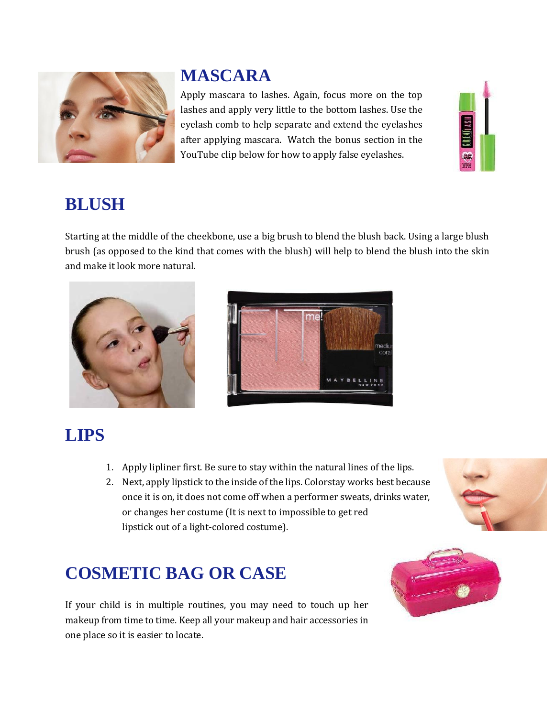

# **MASCARA**

Apply mascara to lashes. Again, focus more on the top lashes and apply very little to the bottom lashes. Use the eyelash comb to help separate and extend the eyelashes after applying mascara. Watch the bonus section in the YouTube clip below for how to apply false eyelashes.



#### **BLUSH**

Starting at the middle of the cheekbone, use a big brush to blend the blush back. Using a large blush brush (as opposed to the kind that comes with the blush) will help to blend the blush into the skin and make it look more natural.





# **LIPS**

- 1. Apply lipliner first. Be sure to stay within the natural lines of the lips.
- 2. Next, apply lipstick to the inside of the lips. Colorstay works best because once it is on, it does not come off when a performer sweats, drinks water, or changes her costume (It is next to impossible to get red lipstick out of a light-colored costume).



# **COSMETIC BAG OR CASE**

If your child is in multiple routines, you may need to touch up her makeup from time to time. Keep all your makeup and hair accessories in one place so it is easier to locate.